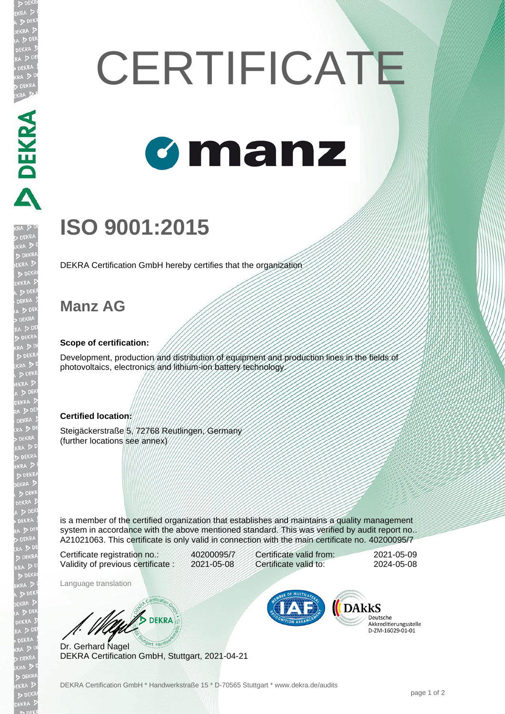# **CERTIFICATE Gmanz**

## **ISO 9001:2015**

DEKRA Certification GmbH hereby certifies that the organization

### **Manz AG**

#### **Scope of certification:**

Development, production and distribution of equipment and production lines in the fields of photovoltaics, electronics and lithium-ion battery technology.

#### **Certified location:**

Steigäckerstraße 5, 72768 Reutlingen, Germany (further locations see annex)

is a member of the certified organization that establishes and maintains a quality management system in accordance with the above mentioned standard. This was verified by audit report no.. A21021063. This certificate is only valid in connection with the main certificate no. 40200095/7

Certificate registration no.: 40200095/7 Validity of previous certificate : 2021-05-08

Certificate valid from: 2021-05-09 Certificate valid to: 2024-05-08

Language translation

**B** DEKRA

Dr. Gerhard Nagel DEKRA Certification GmbH, Stuttgart, 2021-04-21



Deutsche Akkreditierungsstelle D-ZM-16029-01-01